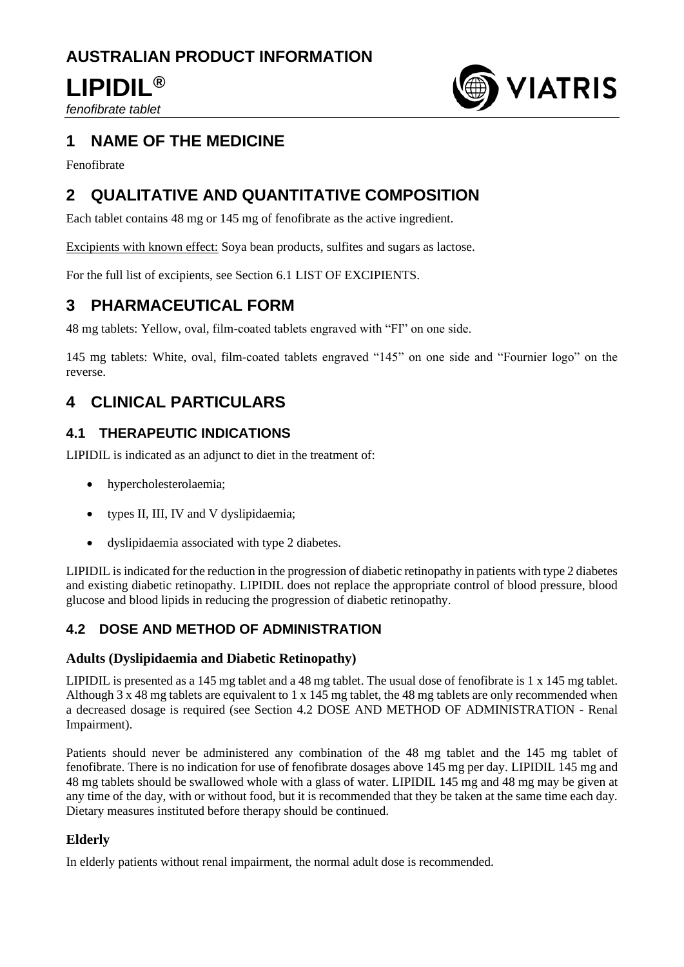# **AUSTRALIAN PRODUCT INFORMATION**

# **LIPIDIL®**

*fenofibrate tablet*



# **1 NAME OF THE MEDICINE**

Fenofibrate

# **2 QUALITATIVE AND QUANTITATIVE COMPOSITION**

Each tablet contains 48 mg or 145 mg of fenofibrate as the active ingredient.

Excipients with known effect: Soya bean products, sulfites and sugars as lactose.

For the full list of excipients, see Section 6.1 LIST OF EXCIPIENTS.

# **3 PHARMACEUTICAL FORM**

48 mg tablets: Yellow, oval, film-coated tablets engraved with "FI" on one side.

145 mg tablets: White, oval, film-coated tablets engraved "145" on one side and "Fournier logo" on the reverse.

# **4 CLINICAL PARTICULARS**

# **4.1 THERAPEUTIC INDICATIONS**

LIPIDIL is indicated as an adjunct to diet in the treatment of:

- hypercholesterolaemia;
- types II, III, IV and V dyslipidaemia:
- dyslipidaemia associated with type 2 diabetes.

LIPIDIL is indicated for the reduction in the progression of diabetic retinopathy in patients with type 2 diabetes and existing diabetic retinopathy. LIPIDIL does not replace the appropriate control of blood pressure, blood glucose and blood lipids in reducing the progression of diabetic retinopathy.

# **4.2 DOSE AND METHOD OF ADMINISTRATION**

# **Adults (Dyslipidaemia and Diabetic Retinopathy)**

LIPIDIL is presented as a 145 mg tablet and a 48 mg tablet. The usual dose of fenofibrate is 1 x 145 mg tablet. Although 3 x 48 mg tablets are equivalent to 1 x 145 mg tablet, the 48 mg tablets are only recommended when a decreased dosage is required (see Section 4.2 DOSE AND METHOD OF ADMINISTRATION - Renal Impairment).

Patients should never be administered any combination of the 48 mg tablet and the 145 mg tablet of fenofibrate. There is no indication for use of fenofibrate dosages above 145 mg per day. LIPIDIL 145 mg and 48 mg tablets should be swallowed whole with a glass of water. LIPIDIL 145 mg and 48 mg may be given at any time of the day, with or without food, but it is recommended that they be taken at the same time each day. Dietary measures instituted before therapy should be continued.

# **Elderly**

In elderly patients without renal impairment, the normal adult dose is recommended.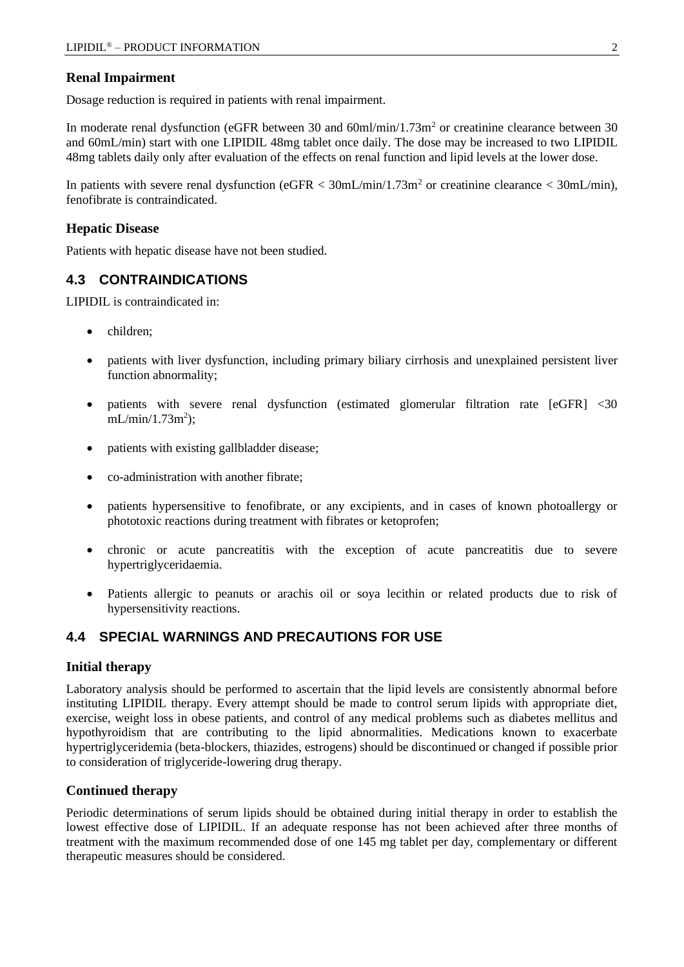## **Renal Impairment**

Dosage reduction is required in patients with renal impairment.

In moderate renal dysfunction (eGFR between 30 and 60ml/min/1.73m<sup>2</sup> or creatinine clearance between 30 and 60mL/min) start with one LIPIDIL 48mg tablet once daily. The dose may be increased to two LIPIDIL 48mg tablets daily only after evaluation of the effects on renal function and lipid levels at the lower dose.

In patients with severe renal dysfunction (eGFR  $<$  30mL/min/1.73m<sup>2</sup> or creatinine clearance  $<$  30mL/min), fenofibrate is contraindicated.

### **Hepatic Disease**

Patients with hepatic disease have not been studied.

## **4.3 CONTRAINDICATIONS**

LIPIDIL is contraindicated in:

- children;
- patients with liver dysfunction, including primary biliary cirrhosis and unexplained persistent liver function abnormality;
- patients with severe renal dysfunction (estimated glomerular filtration rate [eGFR] <30  $mL/min/1.73m^2$ ;
- patients with existing gallbladder disease;
- co-administration with another fibrate;
- patients hypersensitive to fenofibrate, or any excipients, and in cases of known photoallergy or phototoxic reactions during treatment with fibrates or ketoprofen;
- chronic or acute pancreatitis with the exception of acute pancreatitis due to severe hypertriglyceridaemia.
- Patients allergic to peanuts or arachis oil or soya lecithin or related products due to risk of hypersensitivity reactions.

# **4.4 SPECIAL WARNINGS AND PRECAUTIONS FOR USE**

#### **Initial therapy**

Laboratory analysis should be performed to ascertain that the lipid levels are consistently abnormal before instituting LIPIDIL therapy. Every attempt should be made to control serum lipids with appropriate diet, exercise, weight loss in obese patients, and control of any medical problems such as diabetes mellitus and hypothyroidism that are contributing to the lipid abnormalities. Medications known to exacerbate hypertriglyceridemia (beta-blockers, thiazides, estrogens) should be discontinued or changed if possible prior to consideration of triglyceride-lowering drug therapy.

## **Continued therapy**

Periodic determinations of serum lipids should be obtained during initial therapy in order to establish the lowest effective dose of LIPIDIL. If an adequate response has not been achieved after three months of treatment with the maximum recommended dose of one 145 mg tablet per day, complementary or different therapeutic measures should be considered.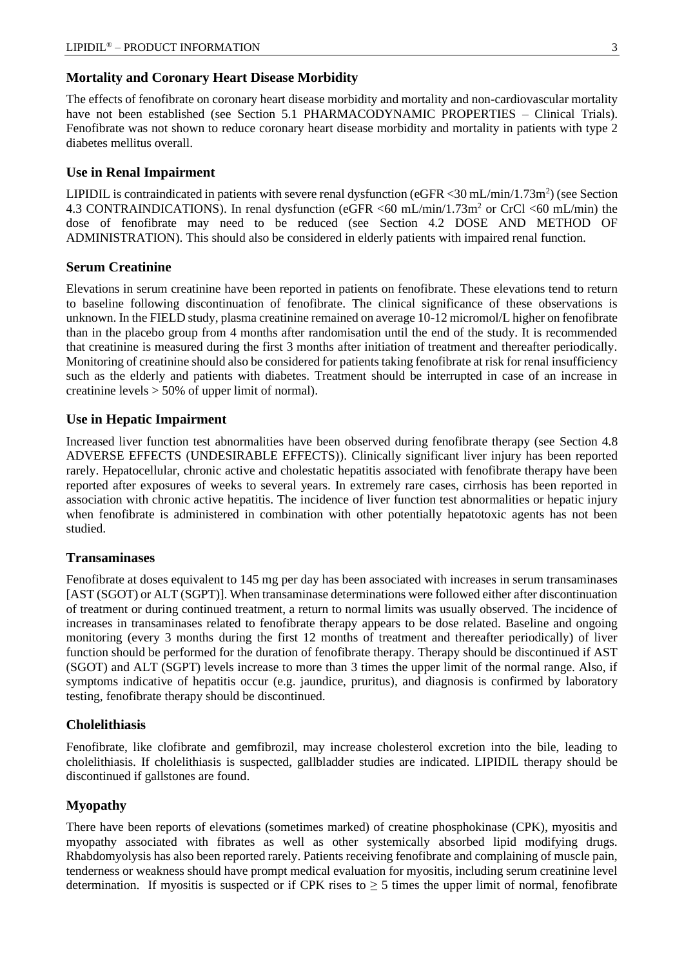## **Mortality and Coronary Heart Disease Morbidity**

The effects of fenofibrate on coronary heart disease morbidity and mortality and non-cardiovascular mortality have not been established (see Section 5.1 PHARMACODYNAMIC PROPERTIES – Clinical Trials). Fenofibrate was not shown to reduce coronary heart disease morbidity and mortality in patients with type 2 diabetes mellitus overall.

## **Use in Renal Impairment**

LIPIDIL is contraindicated in patients with severe renal dysfunction (eGFR <30 mL/min/1.73m<sup>2</sup>) (see Section 4.3 CONTRAINDICATIONS). In renal dysfunction (eGFR <60 mL/min/1.73m<sup>2</sup> or CrCl <60 mL/min) the dose of fenofibrate may need to be reduced (see Section 4.2 DOSE AND METHOD OF ADMINISTRATION). This should also be considered in elderly patients with impaired renal function.

## **Serum Creatinine**

Elevations in serum creatinine have been reported in patients on fenofibrate. These elevations tend to return to baseline following discontinuation of fenofibrate. The clinical significance of these observations is unknown. In the FIELD study, plasma creatinine remained on average 10-12 micromol/L higher on fenofibrate than in the placebo group from 4 months after randomisation until the end of the study. It is recommended that creatinine is measured during the first 3 months after initiation of treatment and thereafter periodically. Monitoring of creatinine should also be considered for patients taking fenofibrate at risk for renal insufficiency such as the elderly and patients with diabetes. Treatment should be interrupted in case of an increase in creatinine levels > 50% of upper limit of normal).

## **Use in Hepatic Impairment**

Increased liver function test abnormalities have been observed during fenofibrate therapy (see Section 4.8 ADVERSE EFFECTS (UNDESIRABLE EFFECTS)). Clinically significant liver injury has been reported rarely. Hepatocellular, chronic active and cholestatic hepatitis associated with fenofibrate therapy have been reported after exposures of weeks to several years. In extremely rare cases, cirrhosis has been reported in association with chronic active hepatitis. The incidence of liver function test abnormalities or hepatic injury when fenofibrate is administered in combination with other potentially hepatotoxic agents has not been studied.

## **Transaminases**

Fenofibrate at doses equivalent to 145 mg per day has been associated with increases in serum transaminases [AST (SGOT) or ALT (SGPT)]. When transaminase determinations were followed either after discontinuation of treatment or during continued treatment, a return to normal limits was usually observed. The incidence of increases in transaminases related to fenofibrate therapy appears to be dose related. Baseline and ongoing monitoring (every 3 months during the first 12 months of treatment and thereafter periodically) of liver function should be performed for the duration of fenofibrate therapy. Therapy should be discontinued if AST (SGOT) and ALT (SGPT) levels increase to more than 3 times the upper limit of the normal range. Also, if symptoms indicative of hepatitis occur (e.g. jaundice, pruritus), and diagnosis is confirmed by laboratory testing, fenofibrate therapy should be discontinued.

## **Cholelithiasis**

Fenofibrate, like clofibrate and gemfibrozil, may increase cholesterol excretion into the bile, leading to cholelithiasis. If cholelithiasis is suspected, gallbladder studies are indicated. LIPIDIL therapy should be discontinued if gallstones are found.

## **Myopathy**

There have been reports of elevations (sometimes marked) of creatine phosphokinase (CPK), myositis and myopathy associated with fibrates as well as other systemically absorbed lipid modifying drugs. Rhabdomyolysis has also been reported rarely. Patients receiving fenofibrate and complaining of muscle pain, tenderness or weakness should have prompt medical evaluation for myositis, including serum creatinine level determination. If myositis is suspected or if CPK rises to  $\geq$  5 times the upper limit of normal, fenofibrate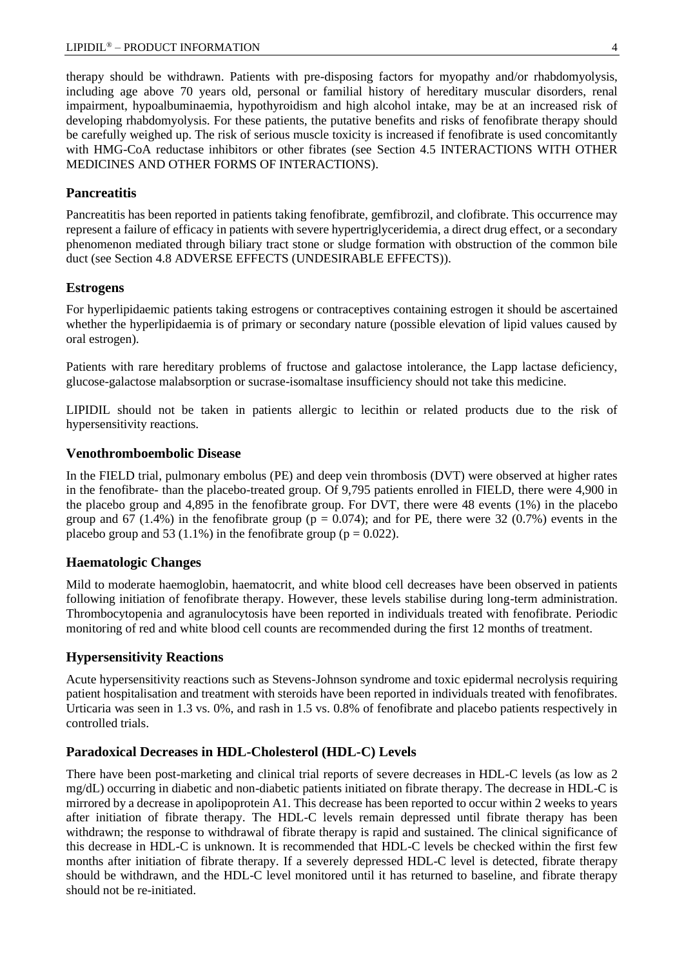therapy should be withdrawn. Patients with pre-disposing factors for myopathy and/or rhabdomyolysis, including age above 70 years old, personal or familial history of hereditary muscular disorders, renal impairment, hypoalbuminaemia, hypothyroidism and high alcohol intake, may be at an increased risk of developing rhabdomyolysis. For these patients, the putative benefits and risks of fenofibrate therapy should be carefully weighed up. The risk of serious muscle toxicity is increased if fenofibrate is used concomitantly with HMG-CoA reductase inhibitors or other fibrates (see Section 4.5 INTERACTIONS WITH OTHER MEDICINES AND OTHER FORMS OF INTERACTIONS).

## **Pancreatitis**

Pancreatitis has been reported in patients taking fenofibrate, gemfibrozil, and clofibrate. This occurrence may represent a failure of efficacy in patients with severe hypertriglyceridemia, a direct drug effect, or a secondary phenomenon mediated through biliary tract stone or sludge formation with obstruction of the common bile duct (see Section 4.8 ADVERSE EFFECTS (UNDESIRABLE EFFECTS)).

## **Estrogens**

For hyperlipidaemic patients taking estrogens or contraceptives containing estrogen it should be ascertained whether the hyperlipidaemia is of primary or secondary nature (possible elevation of lipid values caused by oral estrogen).

Patients with rare hereditary problems of fructose and galactose intolerance, the Lapp lactase deficiency, glucose-galactose malabsorption or sucrase-isomaltase insufficiency should not take this medicine.

LIPIDIL should not be taken in patients allergic to lecithin or related products due to the risk of hypersensitivity reactions.

#### **Venothromboembolic Disease**

In the FIELD trial, pulmonary embolus (PE) and deep vein thrombosis (DVT) were observed at higher rates in the fenofibrate- than the placebo-treated group. Of 9,795 patients enrolled in FIELD, there were 4,900 in the placebo group and 4,895 in the fenofibrate group. For DVT, there were 48 events (1%) in the placebo group and 67 (1.4%) in the fenofibrate group ( $p = 0.074$ ); and for PE, there were 32 (0.7%) events in the placebo group and 53 (1.1%) in the fenofibrate group ( $p = 0.022$ ).

## **Haematologic Changes**

Mild to moderate haemoglobin, haematocrit, and white blood cell decreases have been observed in patients following initiation of fenofibrate therapy. However, these levels stabilise during long-term administration. Thrombocytopenia and agranulocytosis have been reported in individuals treated with fenofibrate. Periodic monitoring of red and white blood cell counts are recommended during the first 12 months of treatment.

#### **Hypersensitivity Reactions**

Acute hypersensitivity reactions such as Stevens-Johnson syndrome and toxic epidermal necrolysis requiring patient hospitalisation and treatment with steroids have been reported in individuals treated with fenofibrates. Urticaria was seen in 1.3 vs. 0%, and rash in 1.5 vs. 0.8% of fenofibrate and placebo patients respectively in controlled trials.

### **Paradoxical Decreases in HDL-Cholesterol (HDL-C) Levels**

There have been post-marketing and clinical trial reports of severe decreases in HDL-C levels (as low as 2 mg/dL) occurring in diabetic and non-diabetic patients initiated on fibrate therapy. The decrease in HDL-C is mirrored by a decrease in apolipoprotein A1. This decrease has been reported to occur within 2 weeks to years after initiation of fibrate therapy. The HDL-C levels remain depressed until fibrate therapy has been withdrawn; the response to withdrawal of fibrate therapy is rapid and sustained. The clinical significance of this decrease in HDL-C is unknown. It is recommended that HDL-C levels be checked within the first few months after initiation of fibrate therapy. If a severely depressed HDL-C level is detected, fibrate therapy should be withdrawn, and the HDL-C level monitored until it has returned to baseline, and fibrate therapy should not be re-initiated.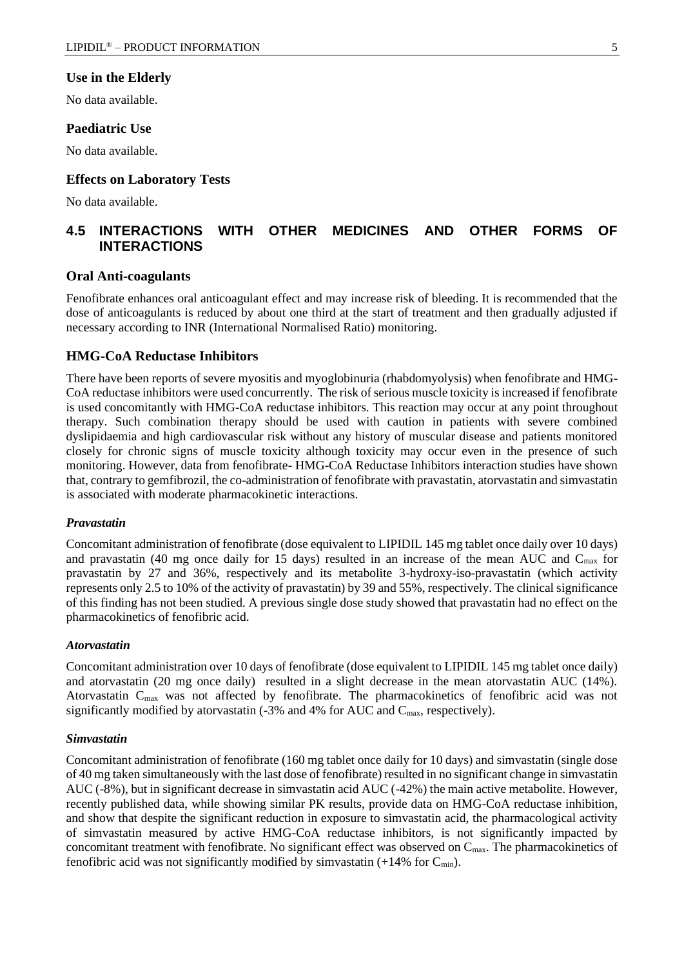#### **Use in the Elderly**

No data available.

#### **Paediatric Use**

No data available.

#### **Effects on Laboratory Tests**

No data available.

# **4.5 INTERACTIONS WITH OTHER MEDICINES AND OTHER FORMS OF INTERACTIONS**

#### **Oral Anti-coagulants**

Fenofibrate enhances oral anticoagulant effect and may increase risk of bleeding. It is recommended that the dose of anticoagulants is reduced by about one third at the start of treatment and then gradually adjusted if necessary according to INR (International Normalised Ratio) monitoring.

#### **HMG-CoA Reductase Inhibitors**

There have been reports of severe myositis and myoglobinuria (rhabdomyolysis) when fenofibrate and HMG-CoA reductase inhibitors were used concurrently. The risk of serious muscle toxicity is increased if fenofibrate is used concomitantly with HMG-CoA reductase inhibitors. This reaction may occur at any point throughout therapy. Such combination therapy should be used with caution in patients with severe combined dyslipidaemia and high cardiovascular risk without any history of muscular disease and patients monitored closely for chronic signs of muscle toxicity although toxicity may occur even in the presence of such monitoring. However, data from fenofibrate- HMG-CoA Reductase Inhibitors interaction studies have shown that, contrary to gemfibrozil, the co-administration of fenofibrate with pravastatin, atorvastatin and simvastatin is associated with moderate pharmacokinetic interactions.

#### *Pravastatin*

Concomitant administration of fenofibrate (dose equivalent to LIPIDIL 145 mg tablet once daily over 10 days) and pravastatin (40 mg once daily for 15 days) resulted in an increase of the mean AUC and C<sub>max</sub> for pravastatin by 27 and 36%, respectively and its metabolite 3-hydroxy-iso-pravastatin (which activity represents only 2.5 to 10% of the activity of pravastatin) by 39 and 55%, respectively. The clinical significance of this finding has not been studied. A previous single dose study showed that pravastatin had no effect on the pharmacokinetics of fenofibric acid.

#### *Atorvastatin*

Concomitant administration over 10 days of fenofibrate (dose equivalent to LIPIDIL 145 mg tablet once daily) and atorvastatin (20 mg once daily) resulted in a slight decrease in the mean atorvastatin AUC (14%). Atorvastatin C<sub>max</sub> was not affected by fenofibrate. The pharmacokinetics of fenofibric acid was not significantly modified by atorvastatin  $(-3)$ % and 4% for AUC and C<sub>max</sub>, respectively).

#### *Simvastatin*

Concomitant administration of fenofibrate (160 mg tablet once daily for 10 days) and simvastatin (single dose of 40 mg taken simultaneously with the last dose of fenofibrate) resulted in no significant change in simvastatin AUC (-8%), but in significant decrease in simvastatin acid AUC (-42%) the main active metabolite. However, recently published data, while showing similar PK results, provide data on HMG-CoA reductase inhibition, and show that despite the significant reduction in exposure to simvastatin acid, the pharmacological activity of simvastatin measured by active HMG-CoA reductase inhibitors, is not significantly impacted by concomitant treatment with fenofibrate. No significant effect was observed on  $C_{\text{max}}$ . The pharmacokinetics of fenofibric acid was not significantly modified by simvastatin  $(+14\%$  for  $C_{min}$ ).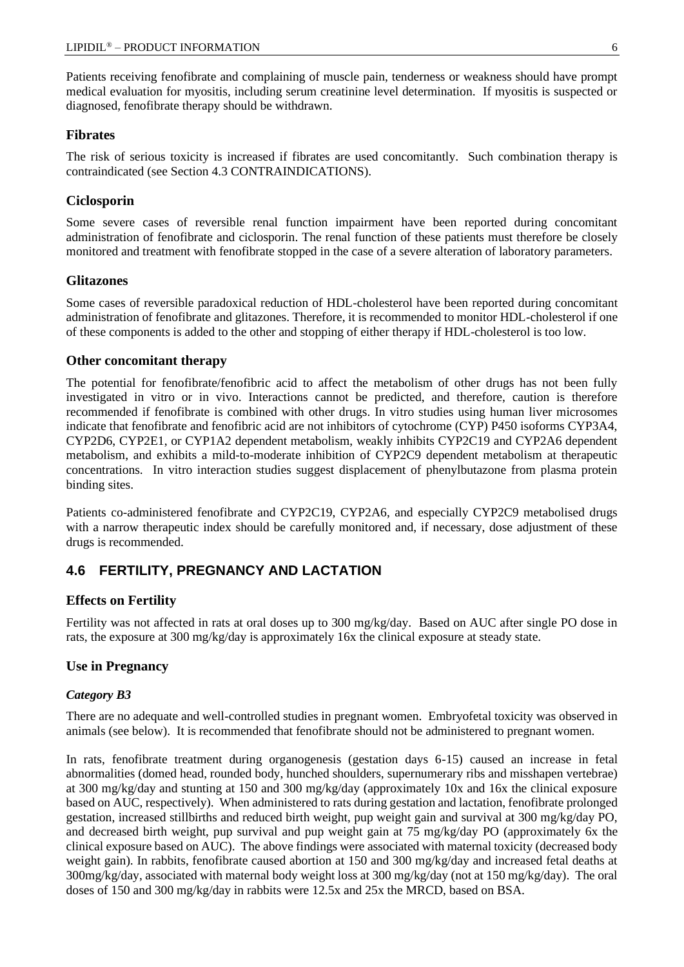Patients receiving fenofibrate and complaining of muscle pain, tenderness or weakness should have prompt medical evaluation for myositis, including serum creatinine level determination. If myositis is suspected or diagnosed, fenofibrate therapy should be withdrawn.

## **Fibrates**

The risk of serious toxicity is increased if fibrates are used concomitantly. Such combination therapy is contraindicated (see Section 4.3 CONTRAINDICATIONS).

## **Ciclosporin**

Some severe cases of reversible renal function impairment have been reported during concomitant administration of fenofibrate and ciclosporin. The renal function of these patients must therefore be closely monitored and treatment with fenofibrate stopped in the case of a severe alteration of laboratory parameters.

## **Glitazones**

Some cases of reversible paradoxical reduction of HDL-cholesterol have been reported during concomitant administration of fenofibrate and glitazones. Therefore, it is recommended to monitor HDL-cholesterol if one of these components is added to the other and stopping of either therapy if HDL-cholesterol is too low.

## **Other concomitant therapy**

The potential for fenofibrate/fenofibric acid to affect the metabolism of other drugs has not been fully investigated in vitro or in vivo. Interactions cannot be predicted, and therefore, caution is therefore recommended if fenofibrate is combined with other drugs. In vitro studies using human liver microsomes indicate that fenofibrate and fenofibric acid are not inhibitors of cytochrome (CYP) P450 isoforms CYP3A4, CYP2D6, CYP2E1, or CYP1A2 dependent metabolism, weakly inhibits CYP2C19 and CYP2A6 dependent metabolism, and exhibits a mild-to-moderate inhibition of CYP2C9 dependent metabolism at therapeutic concentrations. In vitro interaction studies suggest displacement of phenylbutazone from plasma protein binding sites.

Patients co-administered fenofibrate and CYP2C19, CYP2A6, and especially CYP2C9 metabolised drugs with a narrow therapeutic index should be carefully monitored and, if necessary, dose adjustment of these drugs is recommended.

# **4.6 FERTILITY, PREGNANCY AND LACTATION**

## **Effects on Fertility**

Fertility was not affected in rats at oral doses up to 300 mg/kg/day. Based on AUC after single PO dose in rats, the exposure at 300 mg/kg/day is approximately 16x the clinical exposure at steady state.

## **Use in Pregnancy**

## *Category B3*

There are no adequate and well-controlled studies in pregnant women. Embryofetal toxicity was observed in animals (see below). It is recommended that fenofibrate should not be administered to pregnant women.

In rats, fenofibrate treatment during organogenesis (gestation days 6-15) caused an increase in fetal abnormalities (domed head, rounded body, hunched shoulders, supernumerary ribs and misshapen vertebrae) at 300 mg/kg/day and stunting at 150 and 300 mg/kg/day (approximately 10x and 16x the clinical exposure based on AUC, respectively). When administered to rats during gestation and lactation, fenofibrate prolonged gestation, increased stillbirths and reduced birth weight, pup weight gain and survival at 300 mg/kg/day PO, and decreased birth weight, pup survival and pup weight gain at 75 mg/kg/day PO (approximately 6x the clinical exposure based on AUC). The above findings were associated with maternal toxicity (decreased body weight gain). In rabbits, fenofibrate caused abortion at 150 and 300 mg/kg/day and increased fetal deaths at 300mg/kg/day, associated with maternal body weight loss at 300 mg/kg/day (not at 150 mg/kg/day). The oral doses of 150 and 300 mg/kg/day in rabbits were 12.5x and 25x the MRCD, based on BSA.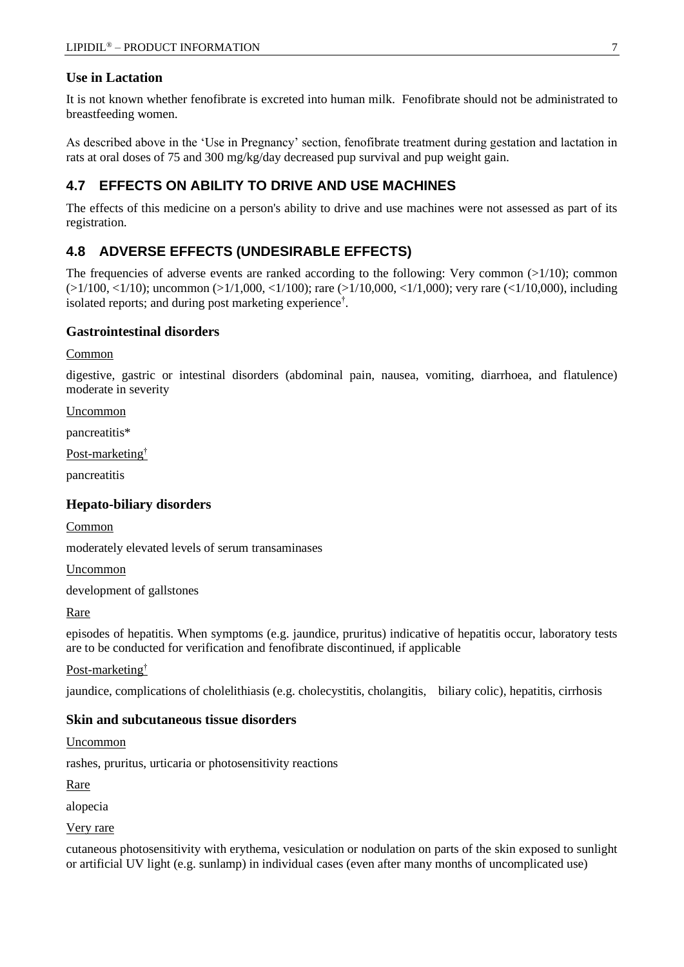## **Use in Lactation**

It is not known whether fenofibrate is excreted into human milk. Fenofibrate should not be administrated to breastfeeding women.

As described above in the 'Use in Pregnancy' section, fenofibrate treatment during gestation and lactation in rats at oral doses of 75 and 300 mg/kg/day decreased pup survival and pup weight gain.

# **4.7 EFFECTS ON ABILITY TO DRIVE AND USE MACHINES**

The effects of this medicine on a person's ability to drive and use machines were not assessed as part of its registration.

# **4.8 ADVERSE EFFECTS (UNDESIRABLE EFFECTS)**

The frequencies of adverse events are ranked according to the following: Very common  $(>1/10)$ ; common  $(>1/100, <1/10)$ ; uncommon  $(>1/1,000, <1/100)$ ; rare  $(>1/10,000, <1/1,000)$ ; very rare  $(<1/10,000)$ , including isolated reports; and during post marketing experience† .

## **Gastrointestinal disorders**

Common

digestive, gastric or intestinal disorders (abdominal pain, nausea, vomiting, diarrhoea, and flatulence) moderate in severity

Uncommon

pancreatitis\*

Post-marketing†

pancreatitis

## **Hepato-biliary disorders**

Common

moderately elevated levels of serum transaminases

Uncommon

development of gallstones

Rare

episodes of hepatitis. When symptoms (e.g. jaundice, pruritus) indicative of hepatitis occur, laboratory tests are to be conducted for verification and fenofibrate discontinued, if applicable

## Post-marketing†

jaundice, complications of cholelithiasis (e.g. cholecystitis, cholangitis, biliary colic), hepatitis, cirrhosis

## **Skin and subcutaneous tissue disorders**

Uncommon

rashes, pruritus, urticaria or photosensitivity reactions

Rare

alopecia

Very rare

cutaneous photosensitivity with erythema, vesiculation or nodulation on parts of the skin exposed to sunlight or artificial UV light (e.g. sunlamp) in individual cases (even after many months of uncomplicated use)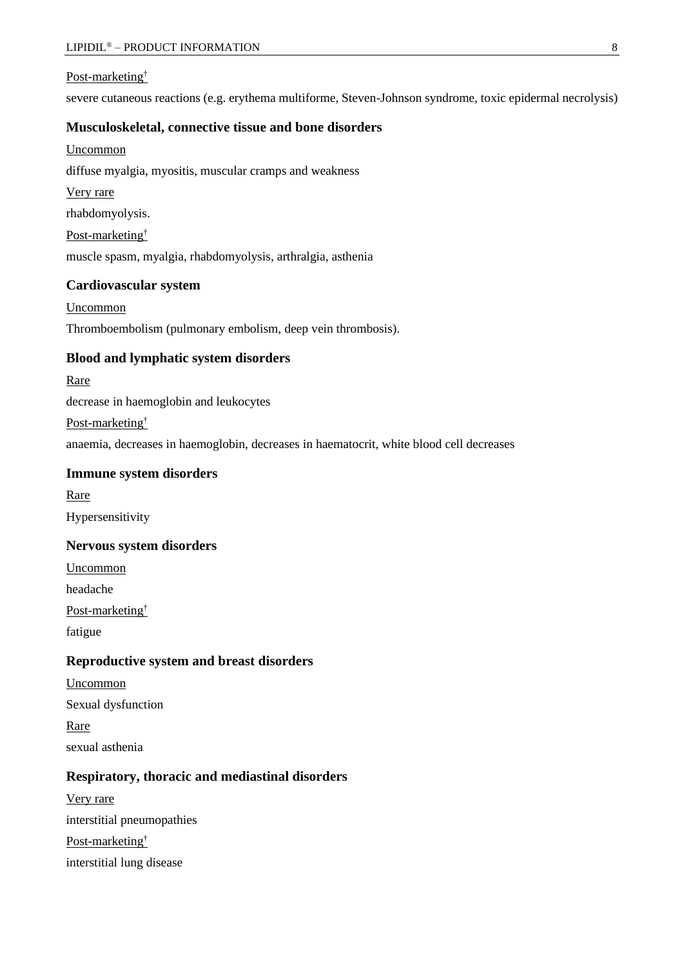#### Post-marketing†

severe cutaneous reactions (e.g. erythema multiforme, Steven-Johnson syndrome, toxic epidermal necrolysis)

### **Musculoskeletal, connective tissue and bone disorders**

Uncommon

diffuse myalgia, myositis, muscular cramps and weakness

Very rare

rhabdomyolysis.

Post-marketing†

muscle spasm, myalgia, rhabdomyolysis, arthralgia, asthenia

## **Cardiovascular system**

Uncommon Thromboembolism (pulmonary embolism, deep vein thrombosis).

## **Blood and lymphatic system disorders**

#### Rare

decrease in haemoglobin and leukocytes

Post-marketing†

anaemia, decreases in haemoglobin, decreases in haematocrit, white blood cell decreases

#### **Immune system disorders**

Rare

Hypersensitivity

### **Nervous system disorders**

Uncommon

headache

Post-marketing†

fatigue

## **Reproductive system and breast disorders**

Uncommon Sexual dysfunction Rare sexual asthenia

### **Respiratory, thoracic and mediastinal disorders**

Very rare interstitial pneumopathies Post-marketing† interstitial lung disease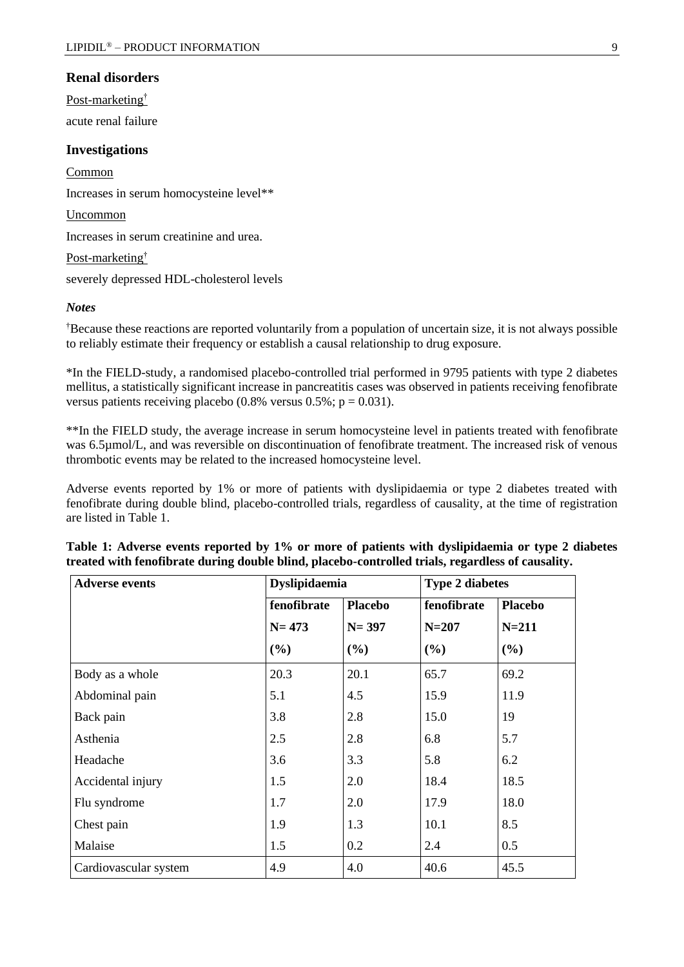#### **Renal disorders**

Post-marketing†

acute renal failure

## **Investigations**

**Common** Increases in serum homocysteine level\*\* Uncommon Increases in serum creatinine and urea. Post-marketing† severely depressed HDL-cholesterol levels

#### *Notes*

†Because these reactions are reported voluntarily from a population of uncertain size, it is not always possible to reliably estimate their frequency or establish a causal relationship to drug exposure.

\*In the FIELD-study, a randomised placebo-controlled trial performed in 9795 patients with type 2 diabetes mellitus, a statistically significant increase in pancreatitis cases was observed in patients receiving fenofibrate versus patients receiving placebo (0.8% versus  $0.5\%$ ; p = 0.031).

\*\*In the FIELD study, the average increase in serum homocysteine level in patients treated with fenofibrate was 6.5µmol/L, and was reversible on discontinuation of fenofibrate treatment. The increased risk of venous thrombotic events may be related to the increased homocysteine level.

Adverse events reported by 1% or more of patients with dyslipidaemia or type 2 diabetes treated with fenofibrate during double blind, placebo-controlled trials, regardless of causality, at the time of registration are listed in Table 1.

| <b>Adverse events</b> | <b>Dyslipidaemia</b> |                |             |                |  |
|-----------------------|----------------------|----------------|-------------|----------------|--|
|                       | fenofibrate          | <b>Placebo</b> | fenofibrate | <b>Placebo</b> |  |
|                       | $N = 473$            | $N = 397$      | $N = 207$   | $N = 211$      |  |
|                       | (%)                  | (%)            | (%)         | (%)            |  |
| Body as a whole       | 20.3                 | 20.1           | 65.7        | 69.2           |  |
| Abdominal pain        | 5.1                  | 4.5            | 15.9        | 11.9           |  |
| Back pain             | 3.8                  | 2.8            | 15.0        | 19             |  |
| Asthenia              | 2.5                  | 2.8            | 6.8         | 5.7            |  |
| Headache              | 3.6                  | 3.3            | 5.8         | 6.2            |  |
| Accidental injury     | 1.5                  | 2.0            | 18.4        | 18.5           |  |
| Flu syndrome          | 1.7                  | 2.0            | 17.9        | 18.0           |  |
| Chest pain            | 1.9                  | 1.3            | 10.1        | 8.5            |  |
| Malaise               | 1.5                  | 0.2            | 2.4         | 0.5            |  |
| Cardiovascular system | 4.9                  | 4.0            | 40.6        | 45.5           |  |

|  |  |  |  |  | Table 1: Adverse events reported by 1% or more of patients with dyslipidaemia or type 2 diabetes  |  |
|--|--|--|--|--|---------------------------------------------------------------------------------------------------|--|
|  |  |  |  |  | treated with fenofibrate during double blind, placebo-controlled trials, regardless of causality. |  |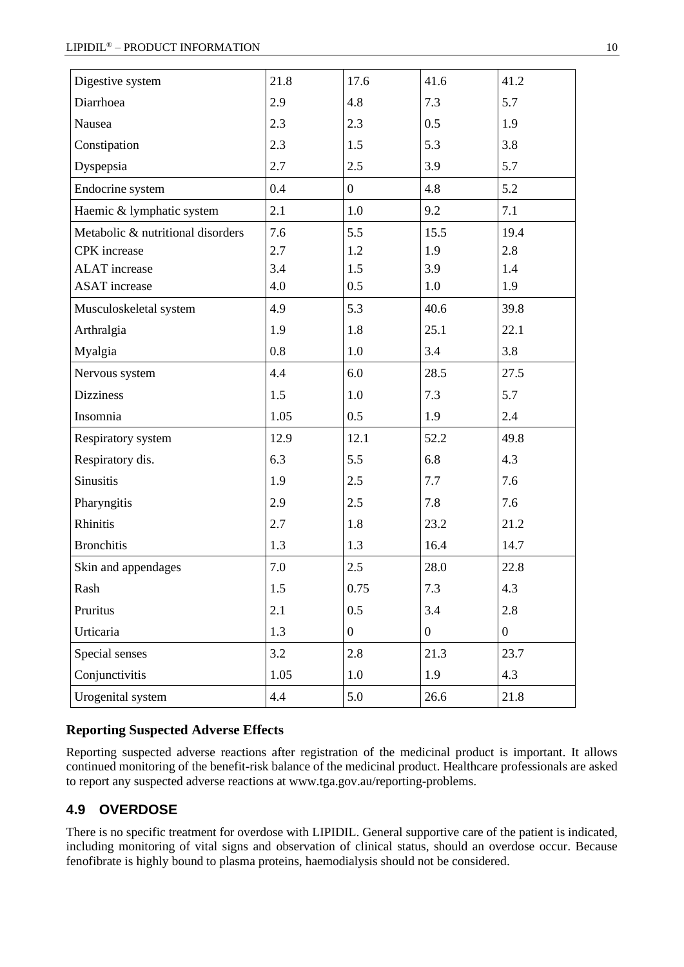| Digestive system                  | 21.8 | 17.6             | 41.6             | 41.2             |
|-----------------------------------|------|------------------|------------------|------------------|
| Diarrhoea                         | 2.9  | 4.8              | 7.3              | 5.7              |
| Nausea                            | 2.3  | 2.3              | 0.5              | 1.9              |
| Constipation                      | 2.3  | 1.5              | 5.3              | 3.8              |
| Dyspepsia                         | 2.7  | 2.5              | 3.9              | 5.7              |
| Endocrine system                  | 0.4  | $\overline{0}$   | 4.8              | 5.2              |
| Haemic & lymphatic system         | 2.1  | 1.0              | 9.2              | 7.1              |
| Metabolic & nutritional disorders | 7.6  | 5.5              | 15.5             | 19.4             |
| <b>CPK</b> increase               | 2.7  | 1.2              | 1.9              | 2.8              |
| <b>ALAT</b> increase              | 3.4  | 1.5              | 3.9              | 1.4              |
| <b>ASAT</b> increase              | 4.0  | 0.5              | 1.0              | 1.9              |
| Musculoskeletal system            | 4.9  | 5.3              | 40.6             | 39.8             |
| Arthralgia                        | 1.9  | 1.8              | 25.1             | 22.1             |
| Myalgia                           | 0.8  | 1.0              | 3.4              | 3.8              |
| Nervous system                    | 4.4  | 6.0              | 28.5             | 27.5             |
| <b>Dizziness</b>                  | 1.5  | 1.0              | 7.3              | 5.7              |
| Insomnia                          | 1.05 | 0.5              | 1.9              | 2.4              |
| Respiratory system                | 12.9 | 12.1             | 52.2             | 49.8             |
| Respiratory dis.                  | 6.3  | 5.5              | 6.8              | 4.3              |
| <b>Sinusitis</b>                  | 1.9  | 2.5              | 7.7              | 7.6              |
| Pharyngitis                       | 2.9  | 2.5              | 7.8              | 7.6              |
| Rhinitis                          | 2.7  | 1.8              | 23.2             | 21.2             |
| <b>Bronchitis</b>                 | 1.3  | 1.3              | 16.4             | 14.7             |
| Skin and appendages               | 7.0  | 2.5              | 28.0             | 22.8             |
| Rash                              | 1.5  | 0.75             | 7.3              | 4.3              |
| Pruritus                          | 2.1  | 0.5              | 3.4              | 2.8              |
| Urticaria                         | 1.3  | $\boldsymbol{0}$ | $\boldsymbol{0}$ | $\boldsymbol{0}$ |
| Special senses                    | 3.2  | 2.8              | 21.3             | 23.7             |
| Conjunctivitis                    | 1.05 | 1.0              | 1.9              | 4.3              |
| Urogenital system                 | 4.4  | 5.0              | 26.6             | 21.8             |

## **Reporting Suspected Adverse Effects**

Reporting suspected adverse reactions after registration of the medicinal product is important. It allows continued monitoring of the benefit-risk balance of the medicinal product. Healthcare professionals are asked to report any suspected adverse reactions at [www.tga.gov.au/reporting-problems.](http://www.tga.gov.au/reporting-problems)

# **4.9 OVERDOSE**

There is no specific treatment for overdose with LIPIDIL. General supportive care of the patient is indicated, including monitoring of vital signs and observation of clinical status, should an overdose occur. Because fenofibrate is highly bound to plasma proteins, haemodialysis should not be considered.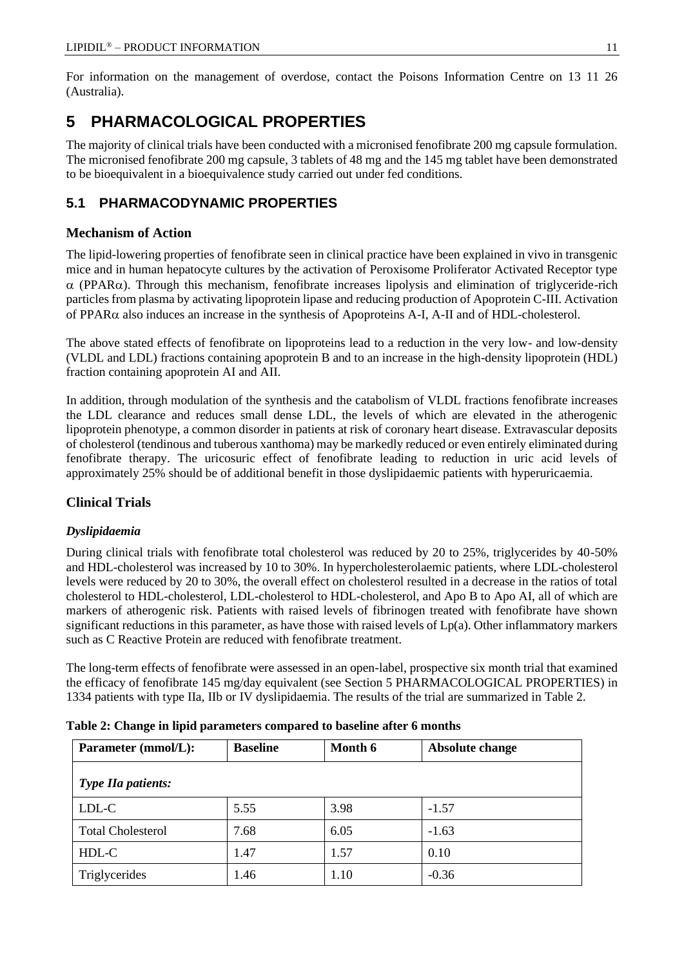For information on the management of overdose, contact the Poisons Information Centre on 13 11 26 (Australia).

# **5 PHARMACOLOGICAL PROPERTIES**

The majority of clinical trials have been conducted with a micronised fenofibrate 200 mg capsule formulation. The micronised fenofibrate 200 mg capsule, 3 tablets of 48 mg and the 145 mg tablet have been demonstrated to be bioequivalent in a bioequivalence study carried out under fed conditions.

# **5.1 PHARMACODYNAMIC PROPERTIES**

# **Mechanism of Action**

The lipid-lowering properties of fenofibrate seen in clinical practice have been explained in vivo in transgenic mice and in human hepatocyte cultures by the activation of Peroxisome Proliferator Activated Receptor type  $\alpha$  (PPAR $\alpha$ ). Through this mechanism, fenofibrate increases lipolysis and elimination of triglyceride-rich particles from plasma by activating lipoprotein lipase and reducing production of Apoprotein C-III. Activation of PPAR $\alpha$  also induces an increase in the synthesis of Apoproteins A-I, A-II and of HDL-cholesterol.

The above stated effects of fenofibrate on lipoproteins lead to a reduction in the very low- and low-density (VLDL and LDL) fractions containing apoprotein B and to an increase in the high-density lipoprotein (HDL) fraction containing apoprotein AI and AII.

In addition, through modulation of the synthesis and the catabolism of VLDL fractions fenofibrate increases the LDL clearance and reduces small dense LDL, the levels of which are elevated in the atherogenic lipoprotein phenotype, a common disorder in patients at risk of coronary heart disease. Extravascular deposits of cholesterol (tendinous and tuberous xanthoma) may be markedly reduced or even entirely eliminated during fenofibrate therapy. The uricosuric effect of fenofibrate leading to reduction in uric acid levels of approximately 25% should be of additional benefit in those dyslipidaemic patients with hyperuricaemia.

# **Clinical Trials**

# *Dyslipidaemia*

During clinical trials with fenofibrate total cholesterol was reduced by 20 to 25%, triglycerides by 40-50% and HDL-cholesterol was increased by 10 to 30%. In hypercholesterolaemic patients, where LDL-cholesterol levels were reduced by 20 to 30%, the overall effect on cholesterol resulted in a decrease in the ratios of total cholesterol to HDL-cholesterol, LDL-cholesterol to HDL-cholesterol, and Apo B to Apo AI, all of which are markers of atherogenic risk. Patients with raised levels of fibrinogen treated with fenofibrate have shown significant reductions in this parameter, as have those with raised levels of  $Lp(a)$ . Other inflammatory markers such as C Reactive Protein are reduced with fenofibrate treatment.

The long-term effects of fenofibrate were assessed in an open-label, prospective six month trial that examined the efficacy of fenofibrate 145 mg/day equivalent (see Section 5 PHARMACOLOGICAL PROPERTIES) in 1334 patients with type IIa, IIb or IV dyslipidaemia. The results of the trial are summarized in Table 2.

| Parameter (mmol/L):       | <b>Baseline</b> | Month 6 | Absolute change |
|---------------------------|-----------------|---------|-----------------|
| <b>Type IIa patients:</b> |                 |         |                 |
| LDL-C                     | 5.55            | 3.98    | $-1.57$         |
| <b>Total Cholesterol</b>  | 7.68            | 6.05    | $-1.63$         |
| HDL-C                     | 1.47            | 1.57    | 0.10            |
| Triglycerides             | 1.46            | 1.10    | $-0.36$         |

|  |  |  |  |  |  | Table 2: Change in lipid parameters compared to baseline after 6 months |
|--|--|--|--|--|--|-------------------------------------------------------------------------|
|--|--|--|--|--|--|-------------------------------------------------------------------------|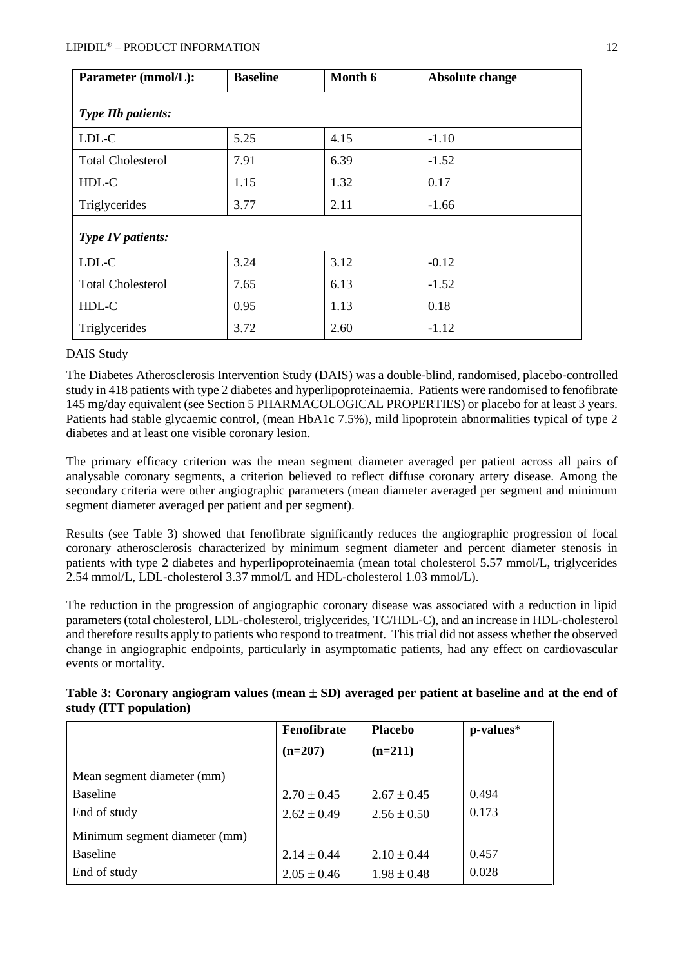| Parameter (mmol/L):       | <b>Baseline</b> | Month 6 | Absolute change |
|---------------------------|-----------------|---------|-----------------|
| <b>Type IIb patients:</b> |                 |         |                 |
| LDL-C                     | 5.25            | 4.15    | $-1.10$         |
| <b>Total Cholesterol</b>  | 7.91            | 6.39    | $-1.52$         |
| HDL-C                     | 1.15            | 1.32    | 0.17            |
| Triglycerides             | 3.77            | 2.11    | $-1.66$         |
| Type IV patients:         |                 |         |                 |
| LDL-C                     | 3.24            | 3.12    | $-0.12$         |
| <b>Total Cholesterol</b>  | 7.65            | 6.13    | $-1.52$         |
| HDL-C                     | 0.95            | 1.13    | 0.18            |
| Triglycerides             | 3.72            | 2.60    | $-1.12$         |

## DAIS Study

The Diabetes Atherosclerosis Intervention Study (DAIS) was a double-blind, randomised, placebo-controlled study in 418 patients with type 2 diabetes and hyperlipoproteinaemia. Patients were randomised to fenofibrate 145 mg/day equivalent (see Section 5 PHARMACOLOGICAL PROPERTIES) or placebo for at least 3 years. Patients had stable glycaemic control, (mean HbA1c 7.5%), mild lipoprotein abnormalities typical of type 2 diabetes and at least one visible coronary lesion.

The primary efficacy criterion was the mean segment diameter averaged per patient across all pairs of analysable coronary segments, a criterion believed to reflect diffuse coronary artery disease. Among the secondary criteria were other angiographic parameters (mean diameter averaged per segment and minimum segment diameter averaged per patient and per segment).

Results (see Table 3) showed that fenofibrate significantly reduces the angiographic progression of focal coronary atherosclerosis characterized by minimum segment diameter and percent diameter stenosis in patients with type 2 diabetes and hyperlipoproteinaemia (mean total cholesterol 5.57 mmol/L, triglycerides 2.54 mmol/L, LDL-cholesterol 3.37 mmol/L and HDL-cholesterol 1.03 mmol/L).

The reduction in the progression of angiographic coronary disease was associated with a reduction in lipid parameters (total cholesterol, LDL-cholesterol, triglycerides, TC/HDL-C), and an increase in HDL-cholesterol and therefore results apply to patients who respond to treatment. This trial did not assess whether the observed change in angiographic endpoints, particularly in asymptomatic patients, had any effect on cardiovascular events or mortality.

|                               | Fenofibrate<br>$(n=207)$ | <b>Placebo</b><br>$(n=211)$ | p-values* |
|-------------------------------|--------------------------|-----------------------------|-----------|
| Mean segment diameter (mm)    |                          |                             |           |
| <b>Baseline</b>               | $2.70 \pm 0.45$          | $2.67 \pm 0.45$             | 0.494     |
| End of study                  | $2.62 \pm 0.49$          | $2.56 \pm 0.50$             | 0.173     |
| Minimum segment diameter (mm) |                          |                             |           |
| <b>Baseline</b>               | $2.14 \pm 0.44$          | $2.10 \pm 0.44$             | 0.457     |
| End of study                  | $2.05 \pm 0.46$          | $1.98 \pm 0.48$             | 0.028     |

| Table 3: Coronary angiogram values (mean $\pm$ SD) averaged per patient at baseline and at the end of |  |  |  |  |
|-------------------------------------------------------------------------------------------------------|--|--|--|--|
| study (ITT population)                                                                                |  |  |  |  |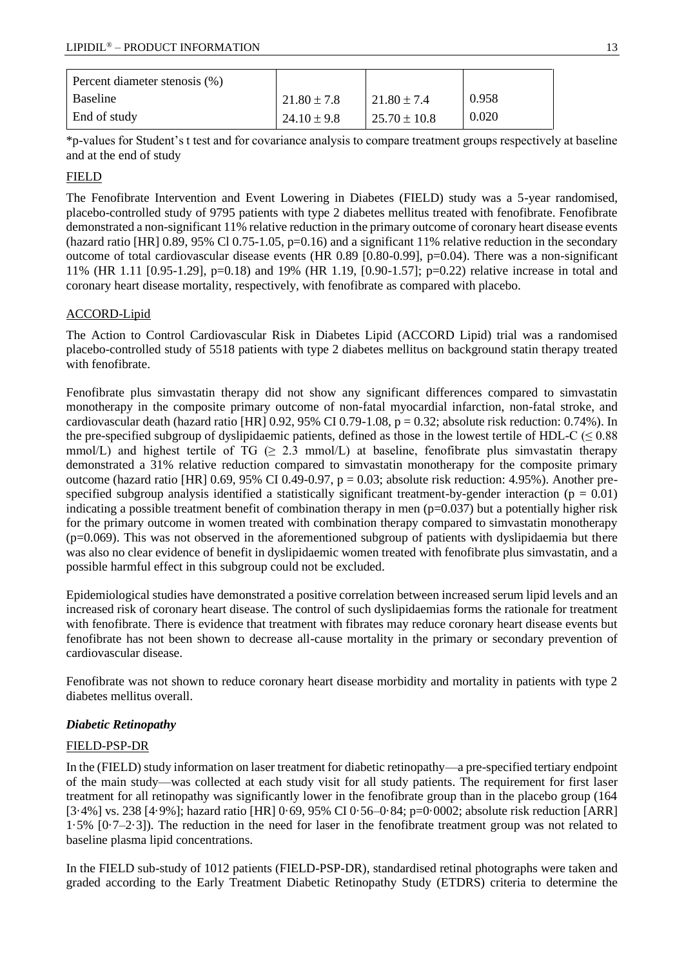| Percent diameter stenosis (%) |                 |                  |       |
|-------------------------------|-----------------|------------------|-------|
| Baseline                      | $21.80 \pm 7.8$ | $121.80 \pm 7.4$ | 0.958 |
| End of study                  | $24.10 \pm 9.8$ | $25.70 \pm 10.8$ | 0.020 |

\*p-values for Student's t test and for covariance analysis to compare treatment groups respectively at baseline and at the end of study

## FIELD

The Fenofibrate Intervention and Event Lowering in Diabetes (FIELD) study was a 5-year randomised, placebo-controlled study of 9795 patients with type 2 diabetes mellitus treated with fenofibrate. Fenofibrate demonstrated a non-significant 11% relative reduction in the primary outcome of coronary heart disease events (hazard ratio [HR] 0.89, 95% Cl 0.75-1.05,  $p=0.16$ ) and a significant 11% relative reduction in the secondary outcome of total cardiovascular disease events (HR 0.89 [0.80-0.99], p=0.04). There was a non-significant 11% (HR 1.11 [0.95-1.29], p=0.18) and 19% (HR 1.19, [0.90-1.57]; p=0.22) relative increase in total and coronary heart disease mortality, respectively, with fenofibrate as compared with placebo.

## ACCORD-Lipid

The Action to Control Cardiovascular Risk in Diabetes Lipid (ACCORD Lipid) trial was a randomised placebo-controlled study of 5518 patients with type 2 diabetes mellitus on background statin therapy treated with fenofibrate.

Fenofibrate plus simvastatin therapy did not show any significant differences compared to simvastatin monotherapy in the composite primary outcome of non-fatal myocardial infarction, non-fatal stroke, and cardiovascular death (hazard ratio [HR] 0.92, 95% CI 0.79-1.08,  $p = 0.32$ ; absolute risk reduction: 0.74%). In the pre-specified subgroup of dyslipidaemic patients, defined as those in the lowest tertile of HDL-C ( $\leq 0.88$ ) mmol/L) and highest tertile of  $TG \geq 2.3$  mmol/L) at baseline, fenofibrate plus simvastatin therapy demonstrated a 31% relative reduction compared to simvastatin monotherapy for the composite primary outcome (hazard ratio [HR] 0.69, 95% CI 0.49-0.97,  $p = 0.03$ ; absolute risk reduction: 4.95%). Another prespecified subgroup analysis identified a statistically significant treatment-by-gender interaction ( $p = 0.01$ ) indicating a possible treatment benefit of combination therapy in men  $(p=0.037)$  but a potentially higher risk for the primary outcome in women treated with combination therapy compared to simvastatin monotherapy (p=0.069). This was not observed in the aforementioned subgroup of patients with dyslipidaemia but there was also no clear evidence of benefit in dyslipidaemic women treated with fenofibrate plus simvastatin, and a possible harmful effect in this subgroup could not be excluded.

Epidemiological studies have demonstrated a positive correlation between increased serum lipid levels and an increased risk of coronary heart disease. The control of such dyslipidaemias forms the rationale for treatment with fenofibrate. There is evidence that treatment with fibrates may reduce coronary heart disease events but fenofibrate has not been shown to decrease all-cause mortality in the primary or secondary prevention of cardiovascular disease.

Fenofibrate was not shown to reduce coronary heart disease morbidity and mortality in patients with type 2 diabetes mellitus overall.

## *Diabetic Retinopathy*

## FIELD-PSP-DR

In the (FIELD) study information on laser treatment for diabetic retinopathy—a pre-specified tertiary endpoint of the main study—was collected at each study visit for all study patients. The requirement for first laser treatment for all retinopathy was significantly lower in the fenofibrate group than in the placebo group (164 [3·4%] vs. 238 [4·9%]; hazard ratio [HR] 0·69, 95% CI 0·56–0·84; p=0·0002; absolute risk reduction [ARR] 1·5% [0·7–2·3]). The reduction in the need for laser in the fenofibrate treatment group was not related to baseline plasma lipid concentrations.

In the FIELD sub-study of 1012 patients (FIELD-PSP-DR), standardised retinal photographs were taken and graded according to the Early Treatment Diabetic Retinopathy Study (ETDRS) criteria to determine the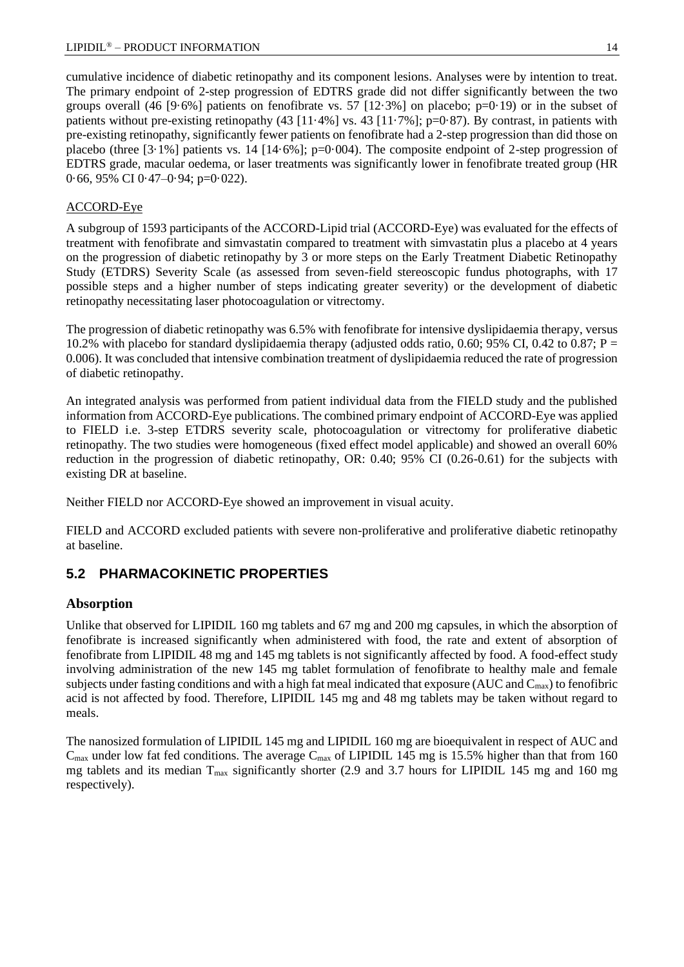#### LIPIDIL<sup>®</sup> – PRODUCT INFORMATION 14

cumulative incidence of diabetic retinopathy and its component lesions. Analyses were by intention to treat. The primary endpoint of 2-step progression of EDTRS grade did not differ significantly between the two groups overall (46 [9·6%] patients on fenofibrate vs. 57 [12·3%] on placebo; p=0·19) or in the subset of patients without pre-existing retinopathy (43  $[11.4\%]$  vs. 43  $[11.7\%]$ ; p=0·87). By contrast, in patients with pre-existing retinopathy, significantly fewer patients on fenofibrate had a 2-step progression than did those on placebo (three  $[3.1\%]$  patients vs. 14  $[14.6\%]$ ; p=0.004). The composite endpoint of 2-step progression of EDTRS grade, macular oedema, or laser treatments was significantly lower in fenofibrate treated group (HR 0·66, 95% CI 0·47–0·94; p=0·022).

## ACCORD-Eye

A subgroup of 1593 participants of the ACCORD-Lipid trial (ACCORD-Eye) was evaluated for the effects of treatment with fenofibrate and simvastatin compared to treatment with simvastatin plus a placebo at 4 years on the progression of diabetic retinopathy by 3 or more steps on the Early Treatment Diabetic Retinopathy Study (ETDRS) Severity Scale (as assessed from seven-field stereoscopic fundus photographs, with 17 possible steps and a higher number of steps indicating greater severity) or the development of diabetic retinopathy necessitating laser photocoagulation or vitrectomy.

The progression of diabetic retinopathy was 6.5% with fenofibrate for intensive dyslipidaemia therapy, versus 10.2% with placebo for standard dyslipidaemia therapy (adjusted odds ratio, 0.60; 95% CI, 0.42 to 0.87;  $P =$ 0.006). It was concluded that intensive combination treatment of dyslipidaemia reduced the rate of progression of diabetic retinopathy.

An integrated analysis was performed from patient individual data from the FIELD study and the published information from ACCORD-Eye publications. The combined primary endpoint of ACCORD-Eye was applied to FIELD i.e. 3-step ETDRS severity scale, photocoagulation or vitrectomy for proliferative diabetic retinopathy. The two studies were homogeneous (fixed effect model applicable) and showed an overall 60% reduction in the progression of diabetic retinopathy, OR: 0.40; 95% CI (0.26-0.61) for the subjects with existing DR at baseline.

Neither FIELD nor ACCORD-Eye showed an improvement in visual acuity.

FIELD and ACCORD excluded patients with severe non-proliferative and proliferative diabetic retinopathy at baseline.

# **5.2 PHARMACOKINETIC PROPERTIES**

# **Absorption**

Unlike that observed for LIPIDIL 160 mg tablets and 67 mg and 200 mg capsules, in which the absorption of fenofibrate is increased significantly when administered with food, the rate and extent of absorption of fenofibrate from LIPIDIL 48 mg and 145 mg tablets is not significantly affected by food. A food-effect study involving administration of the new 145 mg tablet formulation of fenofibrate to healthy male and female subjects under fasting conditions and with a high fat meal indicated that exposure (AUC and  $C_{\text{max}}$ ) to fenofibric acid is not affected by food. Therefore, LIPIDIL 145 mg and 48 mg tablets may be taken without regard to meals.

The nanosized formulation of LIPIDIL 145 mg and LIPIDIL 160 mg are bioequivalent in respect of AUC and  $C_{\text{max}}$  under low fat fed conditions. The average  $C_{\text{max}}$  of LIPIDIL 145 mg is 15.5% higher than that from 160 mg tablets and its median  $T_{\text{max}}$  significantly shorter (2.9 and 3.7 hours for LIPIDIL 145 mg and 160 mg respectively).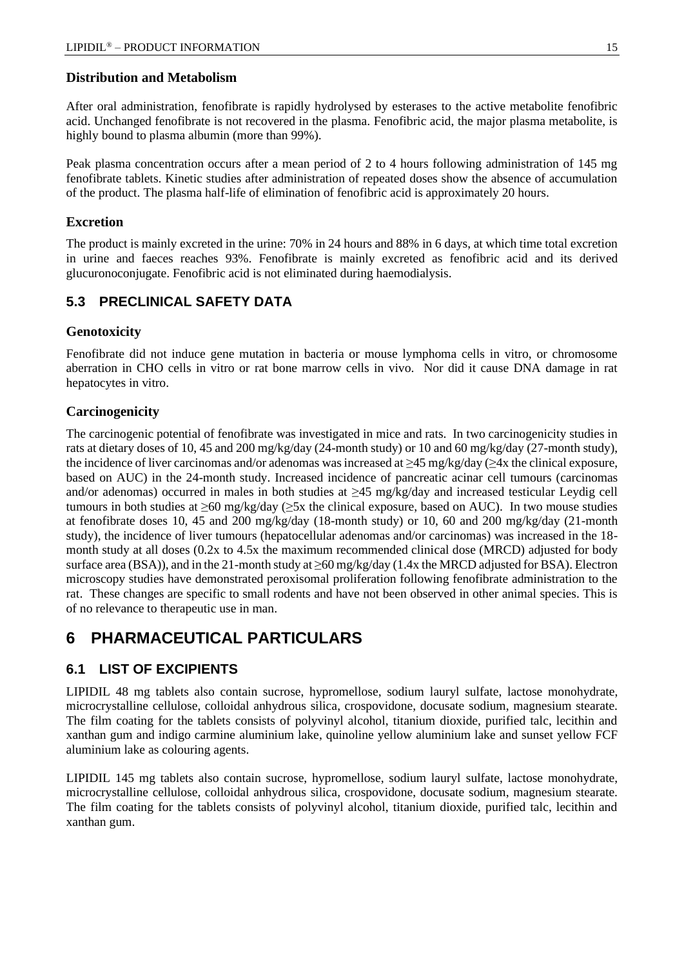## **Distribution and Metabolism**

After oral administration, fenofibrate is rapidly hydrolysed by esterases to the active metabolite fenofibric acid. Unchanged fenofibrate is not recovered in the plasma. Fenofibric acid, the major plasma metabolite, is highly bound to plasma albumin (more than 99%).

Peak plasma concentration occurs after a mean period of 2 to 4 hours following administration of 145 mg fenofibrate tablets. Kinetic studies after administration of repeated doses show the absence of accumulation of the product. The plasma half-life of elimination of fenofibric acid is approximately 20 hours.

# **Excretion**

The product is mainly excreted in the urine: 70% in 24 hours and 88% in 6 days, at which time total excretion in urine and faeces reaches 93%. Fenofibrate is mainly excreted as fenofibric acid and its derived glucuronoconjugate. Fenofibric acid is not eliminated during haemodialysis.

# **5.3 PRECLINICAL SAFETY DATA**

# **Genotoxicity**

Fenofibrate did not induce gene mutation in bacteria or mouse lymphoma cells in vitro, or chromosome aberration in CHO cells in vitro or rat bone marrow cells in vivo. Nor did it cause DNA damage in rat hepatocytes in vitro.

# **Carcinogenicity**

The carcinogenic potential of fenofibrate was investigated in mice and rats. In two carcinogenicity studies in rats at dietary doses of 10, 45 and 200 mg/kg/day (24-month study) or 10 and 60 mg/kg/day (27-month study), the incidence of liver carcinomas and/or adenomas was increased at  $\geq$ 45 mg/kg/day ( $\geq$ 4x the clinical exposure, based on AUC) in the 24-month study. Increased incidence of pancreatic acinar cell tumours (carcinomas and/or adenomas) occurred in males in both studies at ≥45 mg/kg/day and increased testicular Leydig cell tumours in both studies at ≥60 mg/kg/day (≥5x the clinical exposure, based on AUC). In two mouse studies at fenofibrate doses 10, 45 and 200 mg/kg/day (18-month study) or 10, 60 and 200 mg/kg/day (21-month study), the incidence of liver tumours (hepatocellular adenomas and/or carcinomas) was increased in the 18 month study at all doses (0.2x to 4.5x the maximum recommended clinical dose (MRCD) adjusted for body surface area (BSA)), and in the 21-month study at ≥60 mg/kg/day (1.4x the MRCD adjusted for BSA). Electron microscopy studies have demonstrated peroxisomal proliferation following fenofibrate administration to the rat. These changes are specific to small rodents and have not been observed in other animal species. This is of no relevance to therapeutic use in man.

# **6 PHARMACEUTICAL PARTICULARS**

# **6.1 LIST OF EXCIPIENTS**

LIPIDIL 48 mg tablets also contain sucrose, hypromellose, sodium lauryl sulfate, lactose monohydrate, microcrystalline cellulose, colloidal anhydrous silica, crospovidone, docusate sodium, magnesium stearate. The film coating for the tablets consists of polyvinyl alcohol, titanium dioxide, purified talc, lecithin and xanthan gum and indigo carmine aluminium lake, quinoline yellow aluminium lake and sunset yellow FCF aluminium lake as colouring agents.

LIPIDIL 145 mg tablets also contain sucrose, hypromellose, sodium lauryl sulfate, lactose monohydrate, microcrystalline cellulose, colloidal anhydrous silica, crospovidone, docusate sodium, magnesium stearate. The film coating for the tablets consists of polyvinyl alcohol, titanium dioxide, purified talc, lecithin and xanthan gum.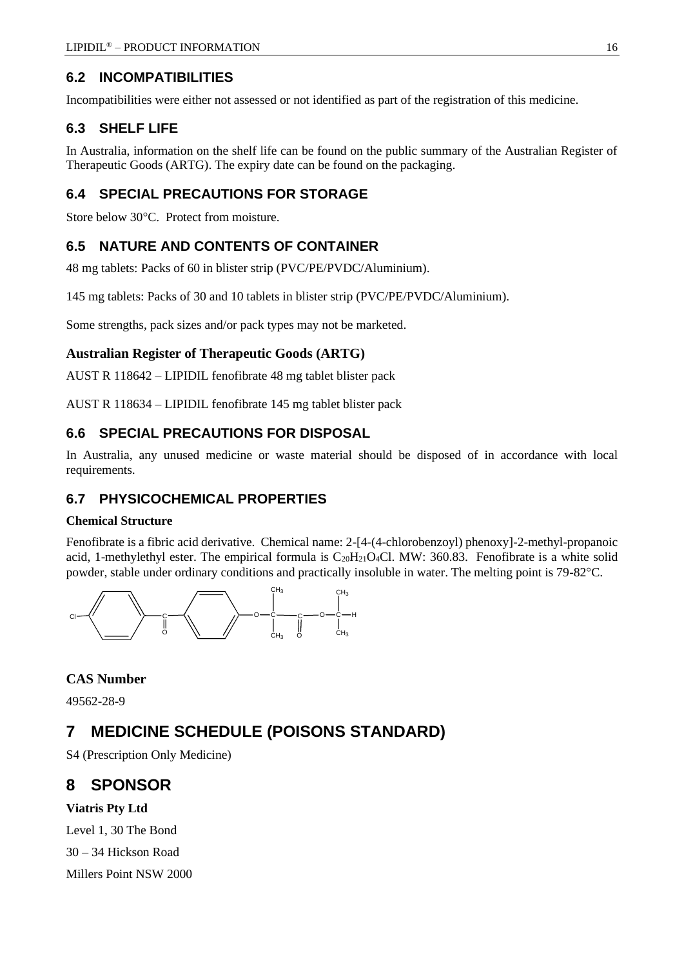# **6.2 INCOMPATIBILITIES**

Incompatibilities were either not assessed or not identified as part of the registration of this medicine.

# **6.3 SHELF LIFE**

In Australia, information on the shelf life can be found on the public summary of the Australian Register of Therapeutic Goods (ARTG). The expiry date can be found on the packaging.

# **6.4 SPECIAL PRECAUTIONS FOR STORAGE**

Store below 30°C. Protect from moisture.

# **6.5 NATURE AND CONTENTS OF CONTAINER**

48 mg tablets: Packs of 60 in blister strip (PVC/PE/PVDC/Aluminium).

145 mg tablets: Packs of 30 and 10 tablets in blister strip (PVC/PE/PVDC/Aluminium).

Some strengths, pack sizes and/or pack types may not be marketed.

# **Australian Register of Therapeutic Goods (ARTG)**

AUST R 118642 – LIPIDIL fenofibrate 48 mg tablet blister pack

AUST R 118634 – LIPIDIL fenofibrate 145 mg tablet blister pack

# **6.6 SPECIAL PRECAUTIONS FOR DISPOSAL**

In Australia, any unused medicine or waste material should be disposed of in accordance with local requirements.

# **6.7 PHYSICOCHEMICAL PROPERTIES**

## **Chemical Structure**

Fenofibrate is a fibric acid derivative. Chemical name: 2-[4-(4-chlorobenzoyl) phenoxy]-2-methyl-propanoic acid, 1-methylethyl ester. The empirical formula is  $C_{20}H_{21}O_4Cl$ . MW: 360.83. Fenofibrate is a white solid powder, stable under ordinary conditions and practically insoluble in water. The melting point is 79-82 °C.



# **CAS Number**

49562-28-9

# **7 MEDICINE SCHEDULE (POISONS STANDARD)**

S4 (Prescription Only Medicine)

# **8 SPONSOR**

# **Viatris Pty Ltd**

Level 1, 30 The Bond 30 – 34 Hickson Road Millers Point NSW 2000